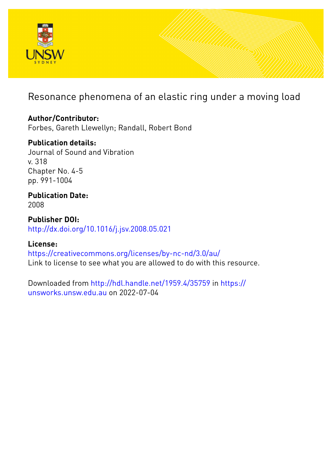

# Resonance phenomena of an elastic ring under a moving load

## **Author/Contributor:**

Forbes, Gareth Llewellyn; Randall, Robert Bond

## **Publication details:**

Journal of Sound and Vibration v. 318 Chapter No. 4-5 pp. 991-1004

## **Publication Date:** 2008

**Publisher DOI:** [http://dx.doi.org/10.1016/j.jsv.2008.05.021](http://dx.doi.org/http://dx.doi.org/10.1016/j.jsv.2008.05.021)

## **License:**

<https://creativecommons.org/licenses/by-nc-nd/3.0/au/> Link to license to see what you are allowed to do with this resource.

Downloaded from <http://hdl.handle.net/1959.4/35759> in [https://](https://unsworks.unsw.edu.au) [unsworks.unsw.edu.au](https://unsworks.unsw.edu.au) on 2022-07-04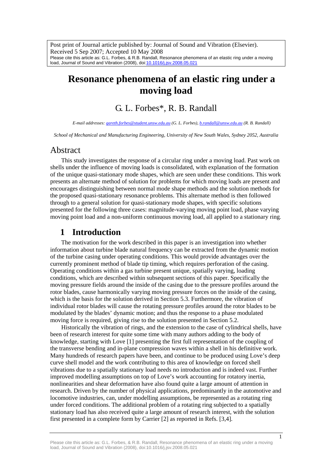Post print of Journal article published by: Journal of Sound and Vibration (Elsevier). Received 5 Sep 2007; Accepted 10 May 2008 Please cite this article as: G.L. Forbes, & R.B. Randall, Resonance phenomena of an elastic ring under a moving load, Journal of Sound and Vibration (2008), doi: 10.1016/j.jsv.2008.05.021

# **Resonance phenomena of an elastic ring under a moving load**

# G. L. Forbes\*, R. B. Randall

*E-mail addresses: [gareth.forbes@student.unsw.edu.au](mailto:gareth.forbes@student.unsw.edu.au) (G. L. Forbes), [b.randall@unsw.edu.au](mailto:b.randall@unsw.edu.au) (R. B. Randall)*

*School of Mechanical and Manufacturing Engineering, University of New South Wales, Sydney 2052, Australia* 

#### Abstract

This study investigates the response of a circular ring under a moving load. Past work on shells under the influence of moving loads is consolidated, with explanation of the formation of the unique quasi-stationary mode shapes, which are seen under these conditions. This work presents an alternate method of solution for problems for which moving loads are present and encourages distinguishing between normal mode shape methods and the solution methods for the proposed quasi-stationary resonance problems. This alternate method is then followed through to a general solution for quasi-stationary mode shapes, with specific solutions presented for the following three cases: magnitude-varying moving point load, phase varying moving point load and a non-uniform continuous moving load, all applied to a stationary ring.

## **1 Introduction**

The motivation for the work described in this paper is an investigation into whether information about turbine blade natural frequency can be extracted from the dynamic motion of the turbine casing under operating conditions. This would provide advantages over the currently prominent method of blade tip timing, which requires perforation of the casing. Operating conditions within a gas turbine present unique, spatially varying, loading conditions, which are described within subsequent sections of this paper. Specifically the moving pressure fields around the inside of the casing due to the pressure profiles around the rotor blades, cause harmonically varying moving pressure forces on the inside of the casing, which is the basis for the solution derived in Section 5.3. Furthermore, the vibration of individual rotor blades will cause the rotating pressure profiles around the rotor blades to be modulated by the blades' dynamic motion; and thus the response to a phase modulated moving force is required, giving rise to the solution presented in Section 5.2.

Historically the vibration of rings, and the extension to the case of cylindrical shells, have been of research interest for quite some time with many authors adding to the body of knowledge, starting with Love [1] presenting the first full representation of the coupling of the transverse bending and in-plane compression waves within a shell in his definitive work. Many hundreds of research papers have been, and continue to be produced using Love's deep curve shell model and the work contributing to this area of knowledge on forced shell vibrations due to a spatially stationary load needs no introduction and is indeed vast. Further improved modelling assumptions on top of Love's work accounting for rotatory inertia, nonlinearities and shear deformation have also found quite a large amount of attention in research. Driven by the number of physical applications, predominantly in the automotive and locomotive industries, can, under modelling assumptions, be represented as a rotating ring under forced conditions. The additional problem of a rotating ring subjected to a spatially stationary load has also received quite a large amount of research interest, with the solution first presented in a complete form by Carrier [2] as reported in Refs. [3,4].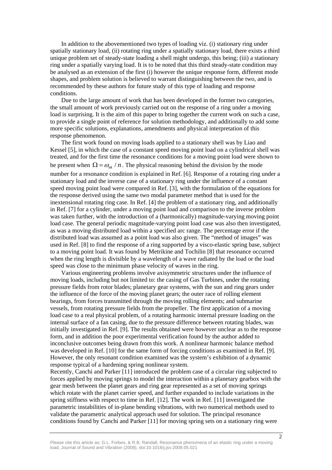In addition to the abovementioned two types of loading viz. (i) stationary ring under spatially stationary load, (ii) rotating ring under a spatially stationary load, there exists a third unique problem set of steady-state loading a shell might undergo, this being; (iii) a stationary ring under a spatially varying load. It is to be noted that this third steady-state condition may be analysed as an extension of the first (i) however the unique response form, different mode shapes, and problem solution is believed to warrant distinguishing between the two, and is recommended by these authors for future study of this type of loading and response conditions.

Due to the large amount of work that has been developed in the former two categories, the small amount of work previously carried out on the response of a ring under a moving load is surprising. It is the aim of this paper to bring together the current work on such a case, to provide a single point of reference for solution methodology, and additionally to add some more specific solutions, explanations, amendments and physical interpretation of this response phenomenon.

The first work found on moving loads applied to a stationary shell was by Liao and Kessel [5], in which the case of a constant speed moving point load on a cylindrical shell was treated, and for the first time the resonance conditions for a moving point load were shown to be present when  $\Omega = \omega_{nk} / n$ . The physical reasoning behind the division by the mode number for a resonance condition is explained in Ref. [6]. Response of a rotating ring under a stationary load and the inverse case of a stationary ring under the influence of a constant speed moving point load were compared in Ref. [3], with the formulation of the equations for the response derived using the same two modal parameter method that is used for the inextensional rotating ring case. In Ref. [4] the problem of a stationary ring, and additionally in Ref. [7] for a cylinder, under a moving point load and comparison to the inverse problem was taken further, with the introduction of a (harmonically) magnitude-varying moving point load case. The general periodic magnitude-varying point load case was also then investigated, as was a moving distributed load within a specified arc range. The percentage error if the distributed load was assumed as a point load was also given. The "method of images" was used in Ref. [8] to find the response of a ring supported by a visco-elastic spring base, subject to a moving point load. It was found by Metrikine and Tochilin [8] that resonance occurred when the ring length is divisible by a wavelength of a wave radiated by the load or the load speed was close to the minimum phase velocity of waves in the ring.

Various engineering problems involve axisymmetric structures under the influence of moving loads, including but not limited to: the casing of Gas Turbines, under the rotating pressure fields from rotor blades; planetary gear systems, with the sun and ring gears under the influence of the force of the moving planet gears; the outer race of rolling element bearings, from forces transmitted through the moving rolling elements; and submarine vessels, from rotating pressure fields from the propeller. The first application of a moving load case to a real physical problem, of a rotating harmonic internal pressure loading on the internal surface of a fan casing, due to the pressure difference between rotating blades, was initially investigated in Ref. [9]. The results obtained were however unclear as to the response form, and in addition the poor experimental verification found by the author added to inconclusive outcomes being drawn from this work. A nonlinear harmonic balance method was developed in Ref. [10] for the same form of forcing conditions as examined in Ref. [9]. However, the only resonant condition examined was the system's exhibition of a dynamic response typical of a hardening spring nonlinear system.

Recently, Canchi and Parker [11] introduced the problem case of a circular ring subjected to forces applied by moving springs to model the interaction within a planetary gearbox with the gear mesh between the planet gears and ring gear represented as a set of moving springs which rotate with the planet carrier speed, and further expanded to include variations in the spring stiffness with respect to time in Ref. [12]. The work in Ref. [11] investigated the parametric instabilities of in-plane bending vibrations, with two numerical methods used to validate the parametric analytical approach used for solution. The principal resonance conditions found by Canchi and Parker [11] for moving spring sets on a stationary ring were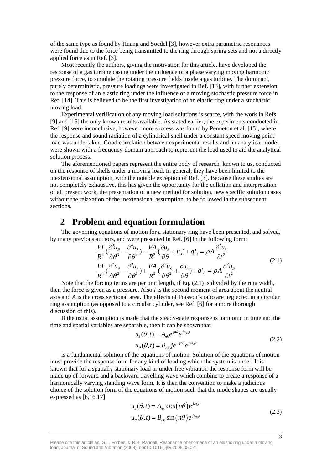of the same type as found by Huang and Soedel [3], however extra parametric resonances were found due to the force being transmitted to the ring through spring sets and not a directly applied force as in Ref. [3].

Most recently the authors, giving the motivation for this article, have developed the response of a gas turbine casing under the influence of a phase varying moving harmonic pressure force, to simulate the rotating pressure fields inside a gas turbine. The dominant, purely deterministic, pressure loadings were investigated in Ref. [13], with further extension to the response of an elastic ring under the influence of a moving stochastic pressure force in Ref. [14]. This is believed to be the first investigation of an elastic ring under a stochastic moving load.

Experimental verification of any moving load solutions is scarce, with the work in Refs. [9] and [15] the only known results available. As stated earlier, the experiments conducted in Ref. [9] were inconclusive, however more success was found by Penneton et al. [15], where the response and sound radiation of a cylindrical shell under a constant speed moving point load was undertaken. Good correlation between experimental results and an analytical model were shown with a frequency-domain approach to represent the load used to aid the analytical solution process.

The aforementioned papers represent the entire body of research, known to us, conducted on the response of shells under a moving load. In general, they have been limited to the inextensional assumption, with the notable exception of Ref. [3]. Because these studies are not completely exhaustive, this has given the opportunity for the collation and interpretation of all present work, the presentation of a new method for solution, new specific solution cases without the relaxation of the inextensional assumption, to be followed in the subsequent sections.

### **2 Problem and equation formulation**

<span id="page-3-0"></span>The governing equations of motion for a stationary ring have been presented, and solved, by many previous authors, and were presented in Ref. [6] in the following form:

$$
\frac{EI}{R^4} \left( \frac{\partial^3 u_\theta}{\partial \theta^3} - \frac{\partial^4 u_3}{\partial \theta^4} \right) - \frac{EA}{R^2} \left( \frac{\partial u_\theta}{\partial \theta} + u_3 \right) + q'_{3} = \rho A \frac{\partial^2 u_3}{\partial t^2}
$$
\n
$$
\frac{EI}{R^4} \left( \frac{\partial^2 u_\theta}{\partial \theta^2} - \frac{\partial^3 u_3}{\partial \theta^3} \right) + \frac{EA}{R^2} \left( \frac{\partial^2 u_\theta}{\partial \theta^2} + \frac{\partial u_3}{\partial \theta} \right) + q'_{\theta} = \rho A \frac{\partial^2 u_\theta}{\partial t^2}
$$
\n(2.1)

Note that the forcing terms are per unit length, if Eq. [\(2.1\)](#page-3-0) is divided by the ring width, then the force is given as a pressure. Also *I* is the second moment of area about the neutral axis and *A* is the cross sectional area. The effects of Poisson's ratio are neglected in a circular ring assumption (as opposed to a circular cylinder, see Ref. [6] for a more thorough discussion of this).

<span id="page-3-2"></span>If the usual assumption is made that the steady-state response is harmonic in time and the time and spatial variables are separable, then it can be shown that

$$
u_3(\theta, t) = A_{nk} e^{jn\theta} e^{j\omega_{nk}t}
$$
  

$$
u_\theta(\theta, t) = B_{nk} j e^{-jn\theta} e^{j\omega_{nk}t}
$$
 (2.2)

<span id="page-3-1"></span>is a fundamental solution of the equations of motion. Solution of the equations of motion must provide the response form for any kind of loading which the system is under. It is known that for a spatially stationary load or under free vibration the response form will be made up of forward and a backward travelling wave which combine to create a response of a harmonically varying standing wave form. It is then the convention to make a judicious choice of the solution form of the equations of motion such that the mode shapes are usually expressed as  $[6,16,17]$ 

$$
u_3(\theta, t) = A_{nk} \cos(n\theta) e^{j\omega_{nk}t}
$$
  

$$
u_{\theta}(\theta, t) = B_{nk} \sin(n\theta) e^{j\omega_{nk}t}
$$
 (2.3)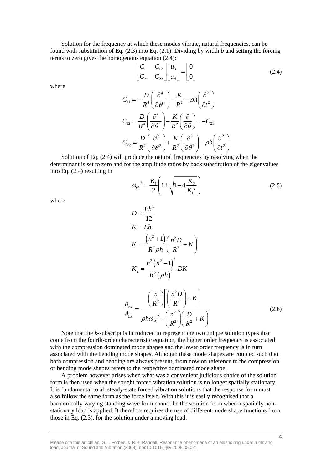<span id="page-4-0"></span>Solution for the frequency at which these modes vibrate, natural frequencies, can be found with substitution of Eq. [\(2.3\)](#page-3-1) into Eq. [\(2.1\).](#page-3-0) Dividing by width *b* and setting the forcing terms to zero gives the homogenous equation [\(2.4\):](#page-4-0)

$$
\begin{bmatrix} C_{11} & C_{12} \\ C_{21} & C_{22} \end{bmatrix} \begin{bmatrix} u_3 \\ u_\theta \end{bmatrix} = \begin{bmatrix} 0 \\ 0 \end{bmatrix} \tag{2.4}
$$

where

$$
C_{11} = -\frac{D}{R^4} \left( \frac{\partial^4}{\partial \theta^4} \right) - \frac{K}{R^2} - \rho h \left( \frac{\partial^2}{\partial t^2} \right)
$$
  
\n
$$
C_{12} = \frac{D}{R^4} \left( \frac{\partial^3}{\partial \theta^3} \right) - \frac{K}{R^2} \left( \frac{\partial}{\partial \theta} \right) = -C_{21}
$$
  
\n
$$
C_{22} = \frac{D}{R^4} \left( \frac{\partial^2}{\partial \theta^2} \right) + \frac{K}{R^2} \left( \frac{\partial^2}{\partial \theta^2} \right) - \rho h \left( \frac{\partial^2}{\partial t^2} \right)
$$

<span id="page-4-1"></span>Solution of Eq. [\(2.4\)](#page-4-0) will produce the natural frequencies by resolving when the determinant is set to zero and for the amplitude ratios by back substitution of the eigenvalues into Eq. [\(2.4\)](#page-4-0) resulting in

$$
\omega_{nk}^2 = \frac{K_1}{2} \left( 1 \pm \sqrt{1 - 4 \frac{K_2}{K_1^2}} \right) \tag{2.5}
$$

where

$$
D = \frac{Eh^3}{12}
$$
  
\n
$$
K = Eh
$$
  
\n
$$
K_1 = \frac{(n^2 + 1)}{R^2 \rho h} \left(\frac{n^2 D}{R^2} + K\right)
$$
  
\n
$$
K_2 = \frac{n^2 (n^2 - 1)^2}{R^2 (\rho h)^2} DK
$$
  
\n
$$
\frac{B_{nk}}{A_{nk}} = \frac{\left(\frac{n}{R^2}\right) \left[\left(\frac{n^2 D}{R^2}\right) + K\right]}{\rho h \omega_{nk}^2 - \left(\frac{n^2}{R^2}\right) \left(\frac{D}{R^2} + K\right)}
$$
(2.6)

<span id="page-4-2"></span>Note that the *k*-subscript is introduced to represent the two unique solution types that come from the fourth-order characteristic equation, the higher order frequency is associated with the compression dominated mode shapes and the lower order frequency is in turn associated with the bending mode shapes. Although these mode shapes are coupled such that both compression and bending are always present, from now on reference to the compression or bending mode shapes refers to the respective dominated mode shape.

A problem however arises when what was a convenient judicious choice of the solution form is then used when the sought forced vibration solution is no longer spatially stationary. It is fundamental to all steady-state forced vibration solutions that the response form must also follow the same form as the force itself. With this it is easily recognised that a harmonically varying standing wave form cannot be the solution form when a spatially nonstationary load is applied. It therefore requires the use of different mode shape functions from those in Eq. [\(2.3\)](#page-3-1), for the solution under a moving load.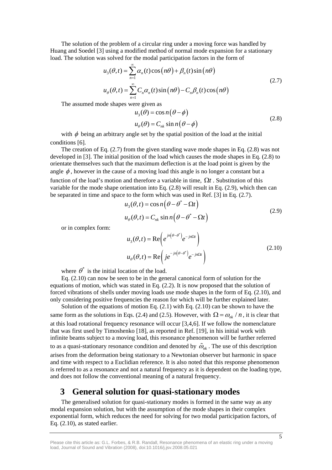<span id="page-5-0"></span>The solution of the problem of a circular ring under a moving force was handled by Huang and Soedel [3] using a modified method of normal mode expansion for a stationary load. The solution was solved for the modal participation factors in the form of

$$
u_3(\theta, t) = \sum_{n=1}^{\infty} \alpha_n(t) \cos(n\theta) + \beta_n(t) \sin(n\theta)
$$
  

$$
u_{\theta}(\theta, t) = \sum_{n=1}^{\infty} C_n \alpha_n(t) \sin(n\theta) - C_n \beta_n(t) \cos(n\theta)
$$
 (2.7)

The assumed mode shapes were given as

$$
u_3(\theta) = \cos n(\theta - \phi)
$$
  
\n
$$
u_{\theta}(\theta) = C_{nk} \sin n(\theta - \phi)
$$
\n(2.8)

<span id="page-5-1"></span>with  $\phi$  being an arbitrary angle set by the spatial position of the load at the initial conditions [6].

The creation of Eq. [\(2.7\)](#page-5-0) from the given standing wave mode shapes in Eq. [\(2.8\)](#page-5-1) was not developed in [3]. The initial position of the load which causes the mode shapes in Eq. [\(2.8\)](#page-5-1) to orientate themselves such that the maximum deflection is at the load point is given by the angle  $\phi$ , however in the cause of a moving load this angle is no longer a constant but a

<span id="page-5-2"></span>function of the load's motion and therefore a variable in time, Ω*t* . Substitution of this variable for the mode shape orientation into Eq. [\(2.8\)](#page-5-1) will result in Eq. [\(2.9\),](#page-5-2) which then can be separated in time and space to the form which was used in Ref. [3] in Eq. [\(2.7\)](#page-5-0).

$$
u_3(\theta, t) = \cos n \left( \theta - \theta^* - \Omega t \right)
$$
  

$$
u_{\theta}(\theta, t) = C_{nk} \sin n \left( \theta - \theta^* - \Omega t \right)
$$
 (2.9)

<span id="page-5-3"></span>or in complex form:

$$
u_3(\theta, t) = \text{Re}\left(e^{jn(\theta - \theta^*)}e^{-jn\Omega t}\right)
$$
  

$$
u_\theta(\theta, t) = \text{Re}\left(je^{-jn(\theta - \theta^*)}e^{-jn\Omega t}\right)
$$
 (2.10)

where  $\theta^*$  is the initial location of the load.

Eq. [\(2.10\)](#page-5-3) can now be seen to be in the general canonical form of solution for the equations of motion, which was stated in Eq. [\(2.2\).](#page-3-2) It is now proposed that the solution of forced vibrations of shells under moving loads use mode shapes in the form of Eq. [\(2.10\),](#page-5-3) and only considering positive frequencies the reason for which will be further explained later.

Solution of the equations of motion Eq.  $(2.1)$  with Eq.  $(2.10)$  can be shown to have the same form as the solutions in Eqs. [\(2.4\)](#page-4-0) and [\(2.5\).](#page-4-1) However, with  $\Omega = \omega_{nk}/n$ , it is clear that at this load rotational frequency resonance will occur [3,4,6]. If we follow the nomenclature that was first used by Timoshenko [18], as reported in Ref. [19], in his initial work with infinite beams subject to a moving load, this resonance phenomenon will be further referred to as a quasi-stationary resonance condition and denoted by  $\tilde{\omega}_{nk}$ . The use of this description arises from the deformation being stationary to a Newtonian observer but harmonic in space and time with respect to a Euclidian reference. It is also noted that this response phenomenon is referred to as a resonance and not a natural frequency as it is dependent on the loading type, and does not follow the conventional meaning of a natural frequency.

## **3 General solution for quasi-stationary modes**

The generalised solution for quasi-stationary modes is formed in the same way as any modal expansion solution, but with the assumption of the mode shapes in their complex exponential form, which reduces the need for solving for two modal participation factors, of Eq. [\(2.10\)](#page-5-3), as stated earlier.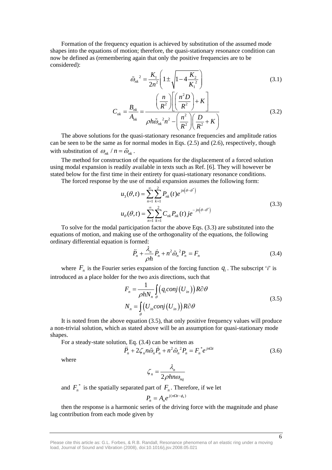Formation of the frequency equation is achieved by substitution of the assumed mode shapes into the equations of motion; therefore, the quasi-stationary resonance condition can now be defined as (remembering again that only the positive frequencies are to be considered):

$$
\tilde{\omega}_{nk}^{2} = \frac{K_1}{2n^2} \left( 1 \pm \sqrt{1 - 4 \frac{K_2}{K_1^2}} \right)
$$
\n(3.1)

$$
C_{nk} = \frac{B_{nk}}{A_{nk}} = \frac{\left(\frac{n}{R^2}\right)\left(\frac{n^2 D}{R^2}\right) + K}{\rho h \tilde{\omega}_{nk}^2 n^2 - \left(\frac{n^2}{R^2}\right)\left(\frac{D}{R^2} + K\right)}
$$
(3.2)

The above solutions for the quasi-stationary resonance frequencies and amplitude ratios can be seen to be the same as for normal modes in Eqs.  $(2.5)$  and  $(2.6)$ , respectively, though with substitution of  $\omega_{nk} / n = \tilde{\omega}_{nk}$ .

<span id="page-6-0"></span>The method for construction of the equations for the displacement of a forced solution using modal expansion is readily available in texts such as Ref. [6]. They will however be stated below for the first time in their entirety for quasi-stationary resonance conditions.

The forced response by the use of modal expansion assumes the following form:  $\sim$  2

$$
u_3(\theta, t) = \sum_{n=1}^{\infty} \sum_{k=1}^{2} P_{nk}(t) e^{jn(\theta - \theta^{*})}
$$
  

$$
u_{\theta}(\theta, t) = \sum_{n=1}^{\infty} \sum_{k=1}^{2} C_{nk} P_{nk}(t) j e^{-jn(\theta - \theta^{*})}
$$
 (3.3)

To solve for the modal participation factor the above Eqs. [\(3.3\)](#page-6-0) are substituted into the equations of motion, and making use of the orthogonality of the equations, the following ordinary differential equation is formed:

$$
\ddot{P}_n + \frac{\lambda_n}{\rho h} \dot{P}_n + n^2 \tilde{\omega}_n^2 P_n = F_n \tag{3.4}
$$

<span id="page-6-2"></span><span id="page-6-1"></span>where  $F_n$  is the Fourier series expansion of the forcing function  $q_i$ . The subscript '*i*' is introduced as a place holder for the two axis directions, such that

$$
F_n = \frac{1}{\rho h N_n} \int_{\theta} \left( q_i \text{conj}(U_{in}) \right) R \partial \theta
$$
  

$$
N_n = \int_{\theta} \left( U_{in} \text{conj}(U_{in}) \right) R \partial \theta
$$
 (3.5)

It is noted from the above equation [\(3.5\),](#page-6-1) that only positive frequency values will produce a non-trivial solution, which as stated above will be an assumption for quasi-stationary mode shapes.

For a steady-state solution, Eq. [\(3.4\)](#page-6-2) can be written as

$$
\ddot{P}_n + 2\zeta_n n \tilde{\omega}_n \dot{P}_n + n^2 \tilde{\omega}_n^2 P_n = F_n^* e^{jn\Omega t}
$$
\n(3.6)

where

$$
\zeta_n = \frac{\lambda_n}{2\rho h n \omega_{nq}}
$$

and  $F_n^*$  is the spatially separated part of  $F_n$ . Therefore, if we let

$$
P_n = A_n e^{j(n\Omega t - \phi_n)}
$$

then the response is a harmonic series of the driving force with the magnitude and phase lag contribution from each mode given by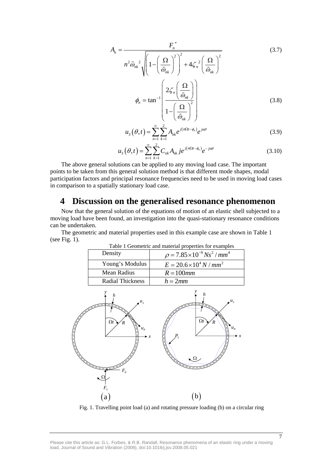$$
A_{n} = \frac{F_{n}^{*}}{n^{2} \tilde{\omega}_{nk}^{2} \sqrt{\left(1 - \left(\frac{\Omega}{\tilde{\omega}_{nk}}\right)^{2}\right)^{2} + 4\zeta_{n}^{2} \left(\frac{\Omega}{\tilde{\omega}_{nk}}\right)^{2}}}
$$
(3.7)  

$$
\phi_{n} = \tan^{-1} \left(\frac{2\zeta_{n} \left(\frac{\Omega}{\tilde{\omega}_{nk}}\right)}{1 - \left(\frac{\Omega}{\tilde{\omega}_{nk}}\right)^{2}}\right)
$$
(3.8)

$$
u_3(\theta, t) = \sum_{n=1}^{\infty} \sum_{k=1}^{2} A_{nk} e^{j(n\Omega t - \phi_n)} e^{jn\theta}
$$
 (3.9)

$$
u_3(\theta, t) = \sum_{n=1}^{\infty} \sum_{k=1}^{2} C_{nk} A_{nk} j e^{j(n\Omega t - \phi_n)} e^{-jn\theta}
$$
 (3.10)

The above general solutions can be applied to any moving load case. The important points to be taken from this general solution method is that different mode shapes, modal participation factors and principal resonance frequencies need to be used in moving load cases in comparison to a spatially stationary load case.

## **4 Discussion on the generalised resonance phenomenon**

Now that the general solution of the equations of motion of an elastic shell subjected to a moving load have been found, an investigation into the quasi-stationary resonance conditions can be undertaken.

The geometric and material properties used in this example case are shown in Table 1 (see Fig. 1).

| Table T Ocometric and material properties for examples |                                                                |
|--------------------------------------------------------|----------------------------------------------------------------|
| Density                                                | $\rho = 7.85 \times 10^{-9}$ Ns <sup>2</sup> / mm <sup>4</sup> |
| Young's Modulus                                        | $E = 20.6 \times 10^4 N / mm^2$                                |
| Mean Radius                                            | $R = 100$ mm                                                   |
| <b>Radial Thickness</b>                                | $h = 2mm$                                                      |

Table 1 Geometric and material properties for examples



Fig. 1. Travelling point load (a) and rotating pressure loading (b) on a circular ring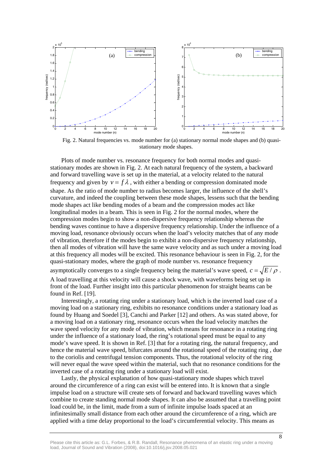

Fig. 2. Natural frequencies vs. mode number for (a) stationary normal mode shapes and (b) quasistationary mode shapes.

Plots of mode number vs. resonance frequency for both normal modes and quasistationary modes are shown in Fig. 2. At each natural frequency of the system, a backward and forward travelling wave is set up in the material, at a velocity related to the natural frequency and given by  $v = f \lambda$ , with either a bending or compression dominated mode shape. As the ratio of mode number to radius becomes larger, the influence of the shell's curvature, and indeed the coupling between these mode shapes, lessens such that the bending mode shapes act like bending modes of a beam and the compression modes act like longitudinal modes in a beam. This is seen in Fig. 2 for the normal modes, where the compression modes begin to show a non-dispersive frequency relationship whereas the bending waves continue to have a dispersive frequency relationship. Under the influence of a moving load, resonance obviously occurs when the load's velocity matches that of any mode of vibration, therefore if the modes begin to exhibit a non-dispersive frequency relationship, then all modes of vibration will have the same wave velocity and as such under a moving load at this frequency all modes will be excited. This resonance behaviour is seen in Fig. 2, for the quasi-stationary modes, where the graph of mode number vs. resonance frequency

asymptotically converges to a single frequency being the material's wave speed,  $c = \sqrt{E/\rho}$ .

A load travelling at this velocity will cause a shock wave, with waveforms being set up in front of the load. Further insight into this particular phenomenon for straight beams can be found in Ref. [19].

Interestingly, a rotating ring under a stationary load, which is the inverted load case of a moving load on a stationary ring, exhibits no resonance conditions under a stationary load as found by Huang and Soedel [3], Canchi and Parker [12] and others. As was stated above, for a moving load on a stationary ring, resonance occurs when the load velocity matches the wave speed velocity for any mode of vibration, which means for resonance in a rotating ring under the influence of a stationary load, the ring's rotational speed must be equal to any mode's wave speed. It is shown in Ref. [3] that for a rotating ring, the natural frequency, and hence the material wave speed, bifurcates around the rotational speed of the rotating ring , due to the coriolis and centrifugal tension components. Thus, the rotational velocity of the ring will never equal the wave speed within the material, such that no resonance conditions for the inverted case of a rotating ring under a stationary load will exist.

Lastly, the physical explanation of how quasi-stationary mode shapes which travel around the circumference of a ring can exist will be entered into. It is known that a single impulse load on a structure will create sets of forward and backward travelling waves which combine to create standing normal mode shapes. It can also be assumed that a travelling point load could be, in the limit, made from a sum of infinite impulse loads spaced at an infinitesimally small distance from each other around the circumference of a ring, which are applied with a time delay proportional to the load's circumferential velocity. This means as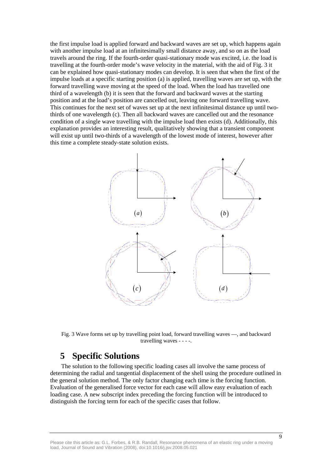the first impulse load is applied forward and backward waves are set up, which happens again with another impulse load at an infinitesimally small distance away, and so on as the load travels around the ring. If the fourth-order quasi-stationary mode was excited, i.e. the load is travelling at the fourth-order mode's wave velocity in the material, with the aid of Fig. 3 it can be explained how quasi-stationary modes can develop. It is seen that when the first of the impulse loads at a specific starting position (a) is applied, travelling waves are set up, with the forward travelling wave moving at the speed of the load. When the load has travelled one third of a wavelength (b) it is seen that the forward and backward waves at the starting position and at the load's position are cancelled out, leaving one forward travelling wave. This continues for the next set of waves set up at the next infinitesimal distance up until twothirds of one wavelength (c). Then all backward waves are cancelled out and the resonance condition of a single wave travelling with the impulse load then exists (d). Additionally, this explanation provides an interesting result, qualitatively showing that a transient component will exist up until two-thirds of a wavelength of the lowest mode of interest, however after this time a complete steady-state solution exists.



Fig. 3 Wave forms set up by travelling point load, forward travelling waves —, and backward travelling waves - - - -.

## **5 Specific Solutions**

The solution to the following specific loading cases all involve the same process of determining the radial and tangential displacement of the shell using the procedure outlined in the general solution method. The only factor changing each time is the forcing function. Evaluation of the generalised force vector for each case will allow easy evaluation of each loading case. A new subscript index preceding the forcing function will be introduced to distinguish the forcing term for each of the specific cases that follow.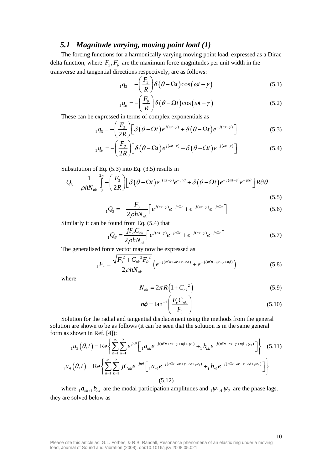#### *5.1 Magnitude varying, moving point load (1)*

The forcing functions for a harmonically varying moving point load, expressed as a Dirac delta function, where  $F_3, F_\theta$  are the maximum force magnitudes per unit width in the transverse and tangential directions respectively, are as follows:

$$
_1q_3 = -\left(\frac{F_3}{R}\right)\delta\left(\theta - \Omega t\right)\cos\left(\omega t - \gamma\right) \tag{5.1}
$$

$$
_1q_\theta = -\left(\frac{F_\theta}{R}\right)\delta\left(\theta - \Omega t\right)\cos\left(\omega t - \gamma\right) \tag{5.2}
$$

<span id="page-10-0"></span>These can be expressed in terms of complex exponentials as

$$
_1q_3 = -\left(\frac{F_3}{2R}\right) \left[ \delta\left(\theta - \Omega t\right) e^{j\left(\omega t - \gamma\right)} + \delta\left(\theta - \Omega t\right) e^{-j\left(\omega t - \gamma\right)} \right]
$$
(5.3)

$$
{}_{1}q_{\theta} = -\left(\frac{F_{\theta}}{2R}\right) \left[\delta\left(\theta - \Omega t\right)e^{j(\omega t - \gamma)} + \delta\left(\theta - \Omega t\right)e^{-j(\omega t - \gamma)}\right]
$$
(5.4)

Substitution of Eq. [\(5.3\)](#page-10-0) into Eq. [\(3.5\)](#page-6-1) results in

<span id="page-10-1"></span>
$$
{}_{1}Q_{3} = \frac{1}{\rho h N_{nk}} \int_{0}^{2\pi} -\left(\frac{F_{3}}{2R}\right) \left[\delta\left(\theta - \Omega t\right) e^{j(\omega t - \gamma)} e^{-jn\theta} + \delta\left(\theta - \Omega t\right) e^{-j(\omega t - \gamma)} e^{-jn\theta}\right] R\partial\theta
$$
\n(5.5)

$$
{}_{1}Q_{3} = -\frac{F_{3}}{2\rho h N_{nk}} \left[ e^{j(\omega t - \gamma)} e^{-jn\Omega t} + e^{-j(\omega t - \gamma)} e^{-jn\Omega t} \right]
$$
(5.6)

Similarly it can be found from Eq. [\(5.4\)](#page-10-1) that

$$
{}_{1}Q_{\theta} = \frac{jF_{\theta}C_{nk}}{2\rho hN_{nk}} \left[ e^{j(\omega t - \gamma)} e^{-jn\Omega t} + e^{-j(\omega t - \gamma)} e^{-jn\Omega t} \right]
$$
(5.7)

The generalised force vector may now be expressed as

$$
{}_{1}F_{n} = \frac{\sqrt{F_{3}^{2} + C_{nk}^{2} F_{\theta}^{2}}}{2 \rho h N_{nk}} \left(e^{-j(n\Omega t + \omega t + \gamma + n\phi)} + e^{-j(n\Omega t - \omega t - \gamma + n\phi)}\right)
$$
(5.8)

where

$$
N_{nk} = 2\pi R \left( 1 + C_{nk}^{2} \right) \tag{5.9}
$$

$$
n\phi = \tan^{-1}\left(\frac{F_{\theta}C_{nk}}{F_3}\right) \tag{5.10}
$$

Solution for the radial and tangential displacement using the methods from the general solution are shown to be as follows (it can be seen that the solution is in the same general form as shown in Ref. [4]):

$$
{}_{1}u_{3}(\theta,t) = \text{Re}\left\{\sum_{n=1}^{\infty}\sum_{k=1}^{2}e^{in\theta}\left[{}_{1}a_{nk}e^{-j(n\Omega t + \omega t + \gamma + n\phi + {}_{1}\psi_{1})} + {}_{1}b_{nk}e^{-j(n\Omega t - \omega t - \gamma + n\phi + {}_{1}\psi_{2})}\right]\right\}
$$
(5.11)  

$$
{}_{1}u_{\theta}(\theta,t) = \text{Re}\left\{\sum_{n=1}^{\infty}\sum_{k=1}^{2}jC_{nk}e^{-jn\theta}\left[{}_{1}a_{nk}e^{-j(n\Omega t + \omega t + \gamma + n\phi + {}_{1}\psi_{1})} + {}_{1}b_{nk}e^{-j(n\Omega t - \omega t - \gamma + n\phi + {}_{1}\psi_{2})}\right]\right\}
$$
(5.12)

where  $_1 a_{nk}$ ,  $b_{nk}$  are the modal participation amplitudes and  $_1 \psi_1$ ,  $_1 \psi_2$  are the phase lags. they are solved below as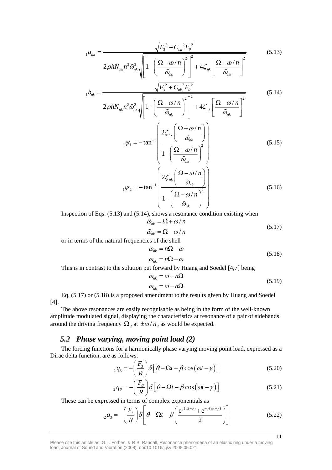<span id="page-11-0"></span>
$$
{}_{1}a_{nk} = \frac{\sqrt{F_{3}^{2} + C_{nk}^{2}F_{\theta}^{2}}}{2\rho h N_{nk} n^{2} \tilde{\omega}_{nk}^{2} \sqrt{\left[1 - \left(\frac{\Omega + \omega / n}{\tilde{\omega}_{nk}}\right)^{2}\right]^{2} + 4\zeta_{nk} \left[\frac{\Omega + \omega / n}{\tilde{\omega}_{nk}}\right]^{2}}}
$$
(5.13)

<span id="page-11-1"></span>
$$
\sqrt{E_1^2 + C_{nk}^2 + C_{nk}^2}
$$
\n
$$
P_{nk} = \frac{\sqrt{F_3^2 + C_{nk}^2 + C_{nk}^2}}{\sqrt{C_{nk}^2 + C_{nk}^2 + C_{nk}^2}}
$$
\n(5.14)

$$
2\rho h N_{nk} n^2 \tilde{\omega}_{nk}^2 \sqrt{1 - \left(\frac{\Omega - \omega / n}{\tilde{\omega}_{nk}}\right)^2 + 4\zeta_{nk} \left[\frac{\Omega - \omega / n}{\tilde{\omega}_{nk}}\right]^2}
$$
  

$$
W_1 = -\tan^{-1} \left(\frac{2\zeta_{nk} \left(\frac{\Omega + \omega / n}{\tilde{\omega}_{nk}}\right)}{1 - \left(\frac{\Omega + \omega / n}{\tilde{\omega}_{nk}}\right)^2}\right)
$$
  

$$
W_2 = -\tan^{-1} \left(\frac{2\zeta_{nk} \left(\frac{\Omega - \omega / n}{\tilde{\omega}_{nk}}\right)}{1 - \left(\frac{\Omega - \omega / n}{\tilde{\omega}_{nk}}\right)^2}\right)
$$
  

$$
(5.16)
$$

*nk*

<span id="page-11-2"></span>Inspection of Eqs. [\(5.13\)](#page-11-0) and [\(5.14\),](#page-11-1) shows a resonance condition existing when  $\tilde{\omega}_{nk} = \Omega + \omega / n$ 

$$
\tilde{\omega}_{nk} = \Omega - \omega / n \tag{5.17}
$$

<span id="page-11-3"></span>or in terms of the natural frequencies of the shell

$$
\omega_{nk} = n\Omega + \omega
$$
  
\n
$$
\omega_{nk} = n\Omega - \omega
$$
\n(5.18)

This is in contrast to the solution put forward by Huang and Soedel [4,7] being

$$
\omega_{nk} = \omega + n\Omega
$$
  
\n
$$
\omega_{nk} = \omega - n\Omega
$$
\n(5.19)

Eq. [\(5.17\)](#page-11-2) or [\(5.18\)](#page-11-3) is a proposed amendment to the results given by Huang and Soedel [4].

The above resonances are easily recognisable as being in the form of the well-known amplitude modulated signal, displaying the characteristics at resonance of a pair of sidebands around the driving frequency  $\Omega$ , at  $\pm \omega/n$ , as would be expected.

#### *5.2 Phase varying, moving point load (2)*

The forcing functions for a harmonically phase varying moving point load, expressed as a Dirac delta function, are as follows:

$$
{}_{2}q_{3} = -\left(\frac{F_{3}}{R}\right)\delta\left[\theta - \Omega t - \beta\cos\left(\omega t - \gamma\right)\right]
$$
 (5.20)

$$
{}_{2}q_{\theta} = -\left(\frac{F_{\theta}}{R}\right) \delta \left[\theta - \Omega t - \beta \cos(\omega t - \gamma)\right]
$$
 (5.21)

<span id="page-11-4"></span>These can be expressed in terms of complex exponentials as

$$
{}_{2}q_{3} = -\left(\frac{F_{3}}{R}\right)\delta\left[\theta - \Omega t - \beta\left(\frac{e^{j(\omega t - \gamma)} + e^{-j(\omega t - \gamma)}}{2}\right)\right]
$$
(5.22)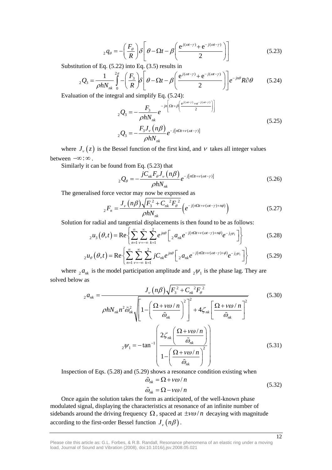$$
{}_{2}q_{\theta} = -\left(\frac{F_{\theta}}{R}\right) \delta \left[\theta - \Omega t - \beta \left(\frac{e^{j(\omega t - \gamma)} + e^{-j(\omega t - \gamma)}}{2}\right)\right]
$$
(5.23)

<span id="page-12-1"></span><span id="page-12-0"></span>Substitution of Eq. [\(5.22\)](#page-11-4) into Eq. [\(3.5\)](#page-6-1) results in

$$
{}_{2}Q_{3} = \frac{1}{\rho h N_{nk}} \int_{0}^{2\pi} -\left(\frac{F_{3}}{R}\right) \delta \left[\theta - \Omega t - \beta \left(\frac{e^{j(\omega t - \gamma)} + e^{-j(\omega t - \gamma)}}{2}\right)\right] e^{-jn\theta} R \partial \theta \qquad (5.24)
$$

Evaluation of the integral and simplify Eq. [\(5.24\)](#page-12-0):

$$
{}_{2}Q_{3} = -\frac{F_{3}}{\rho h N_{nk}} e^{-jn\left[\Omega t + \beta\left(\frac{e^{j(\omega t + \tau)} + e^{-j(\omega t - \tau)}}{2}\right)\right]}
$$
  

$$
{}_{2}Q_{3} = -\frac{F_{3}J_{\nu}(n\beta)}{\rho h N_{nk}} e^{-j[n\Omega t + \nu(\omega t - \tau)]}
$$
  
(5.25)

where  $J_{\nu}(z)$  is the Bessel function of the first kind, and  $\nu$  takes all integer values between  $-\infty$ :  $\infty$ .

Similarly it can be found from Eq. [\(5.23\)](#page-12-1) that

$$
{}_{2}Q_{\theta} = -\frac{jC_{nk}F_{\theta}J_{\nu}(n\beta)}{\rho hN_{nk}}e^{-j[n\Omega t + \nu(\omega t - \gamma)]}
$$
(5.26)

The generalised force vector may now be expressed as

$$
{}_{2}F_{n} = \frac{J_{\nu}(n\beta)\sqrt{F_{3}^{2} + C_{nk}^{2}F_{\theta}^{2}}}{\rho h N_{nk}} \left(e^{-j(n\Omega t + \nu(\omega t - \gamma) + n\phi)}\right)
$$
(5.27)

<span id="page-12-2"></span>Solution for radial and tangential displacements is then found to be as follows:

$$
{}_{2}u_{3}(\theta,t) = \text{Re}\left\{\sum_{n=1}^{\infty}\sum_{\nu=-\infty}^{\infty}\sum_{k=1}^{2}e^{jn\theta}\left[\left[2a_{nk}e^{-j(n\Omega t + \nu(\omega t - \gamma) + n\phi)}e^{-j_{2}\psi_{1}}\right]\right]\right\}
$$
(5.28)

$$
{}_{2}u_{\theta}\left(\theta,t\right)=\operatorname{Re}\left\{\sum_{n=1}^{\infty}\sum_{\nu=-\infty}^{\infty}\sum_{k=1}^{2}jC_{nk}e^{jn\theta}\left[{}_{2}a_{nk}e^{-j\left(n\Omega t+\nu(\omega t-\gamma)+\phi\right)}e^{-j_{2}\psi_{1}}\right]\right\}
$$
(5.29)

<span id="page-12-3"></span>where  ${}_{2}a_{nk}$  is the model participation amplitude and  ${}_{2}\psi_{1}$  is the phase lag. They are solved below as

$$
{}_{2}a_{nk} = \frac{J_{\nu}(n\beta)\sqrt{F_{3}^{2} + C_{nk}^{2}F_{\theta}^{2}}}{\rho h N_{nk} n^{2} \tilde{\omega}_{nk}^{2} \sqrt{\left[1 - \left(\frac{\Omega + v\omega / n}{\tilde{\omega}_{nk}}\right)^{2}\right]^{2} + 4\zeta_{nk} \left[\frac{\Omega + v\omega / n}{\tilde{\omega}_{nk}}\right]^{2}}}
$$
(5.30)  

$$
{}_{2}\psi_{1} = -\tan^{-1}\left(\frac{2\zeta_{nk}\left(\frac{\Omega + v\omega / n}{\tilde{\omega}_{nk}}\right)}{1 - \left(\frac{\Omega + v\omega / n}{\tilde{\omega}_{nk}}\right)^{2}}\right)
$$
(5.31)

Inspection of Eqs. [\(5.28\)](#page-12-2) and [\(5.29\)](#page-12-3) shows a resonance condition existing when

$$
\tilde{\omega}_{nk} = \Omega + v\omega/n
$$
  
\n
$$
\tilde{\omega}_{nk} = \Omega - v\omega/n
$$
\n(5.32)

Once again the solution takes the form as anticipated, of the well-known phase modulated signal, displaying the characteristics at resonance of an infinite number of sidebands around the driving frequency  $\Omega$ , spaced at  $\pm v\omega/n$  decaying with magnitude according to the first-order Bessel function  $J_{\nu}(n\beta)$ .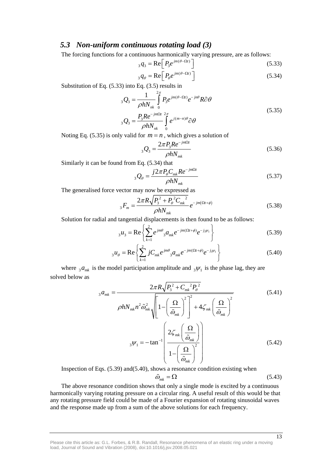#### *5.3 Non-uniform continuous rotating load (3)*

<span id="page-13-0"></span>The forcing functions for a continuous harmonically varying pressure, are as follows:

$$
_3q_3 = \text{Re}\left[P_3 e^{jm(\theta - \Omega t)}\right]
$$
 (5.33)

$$
{}_{3}q_{\theta} = \text{Re}\Big[P_{\theta}e^{jm(\theta - \Omega t)}\Big]
$$
 (5.34)

<span id="page-13-2"></span><span id="page-13-1"></span>Substitution of Eq. [\(5.33\)](#page-13-0) into Eq. [\(3.5\)](#page-6-1) results in

$$
{}_{3}Q_{3} = \frac{1}{\rho h N_{nk}} \int_{0}^{2\pi} P_{3} e^{jm(\theta - \Omega t)} e^{-jn\theta} R \partial \theta
$$
  

$$
{}_{3}Q_{3} = \frac{P_{3} Re^{-jm\Omega t}}{\rho h N_{nk}} \int_{0}^{\infty} e^{j(m-n)\theta} \partial \theta
$$
 (5.35)

Noting Eq. [\(5.35\)](#page-13-1) is only valid for  $m = n$ , which gives a solution of

$$
{}_{3}Q_{3} = \frac{2\pi P_{3}Re^{-jm\Omega t}}{\rho h N_{mk}}
$$
\n(5.36)

Similarly it can be found from Eq. [\(5.34\)](#page-13-2) that

$$
{}_{3}Q_{\theta} = \frac{j2\pi P_{\theta}C_{mk}Re^{-jm\Omega t}}{\rho h N_{mk}}
$$
\n(5.37)

The generalised force vector may now be expressed as

$$
{}_{3}F_{m} = \frac{2\pi R\sqrt{P_{3}^{2} + P_{\theta}^{2}C_{mk}^{2}}}{\rho h N_{mk}} e^{-jm(\Omega t + \phi)}
$$
(5.38)

<span id="page-13-3"></span>Solution for radial and tangential displacements is then found to be as follows:

$$
{}_{3}u_{3} = \text{Re}\left\{\sum_{k=1}^{2} e^{jm\theta} {}_{3}a_{mk} e^{-jm(\Omega t + \phi)} e^{-j_{3}\psi_{1}}\right\}
$$
(5.39)

$$
{}_{3}u_{\theta} = \text{Re}\left\{\sum_{k=1}^{2} jC_{mk}e^{jm\theta}{}_{3}a_{mk}e^{-jm(\Omega t + \phi)}e^{-j_{3}\psi_{1}}\right\}
$$
(5.40)

<span id="page-13-4"></span>where  $_{3}a_{mk}$  is the model participation amplitude and  $_{3}\psi_{1}$  is the phase lag, they are solved below as

$$
{}_{3}a_{mk} = \frac{2\pi R\sqrt{P_{3}^{2} + C_{mk}^{2}P_{\theta}^{2}}}{\rho h N_{mk} n^{2} \tilde{\omega}_{mk}^{2} \sqrt{\left[1 - \left(\frac{\Omega}{\tilde{\omega}_{mk}}\right)^{2}\right]^{2} + 4\zeta_{mk} \left(\frac{\Omega}{\tilde{\omega}_{mk}}\right)^{2}}
$$
(5.41)  

$$
{}_{3}\psi_{1} = -\tan^{-1} \left(\frac{2\zeta_{mk} \left(\frac{\Omega}{\tilde{\omega}_{mk}}\right)}{1 - \left(\frac{\Omega}{\tilde{\omega}_{mk}}\right)^{2}}\right)
$$
(5.42)

Inspection of Eqs. [\(5.39\)](#page-13-3) and[\(5.40\)](#page-13-4), shows a resonance condition existing when

$$
\tilde{\omega}_{mk} = \Omega \tag{5.43}
$$

The above resonance condition shows that only a single mode is excited by a continuous harmonically varying rotating pressure on a circular ring. A useful result of this would be that any rotating pressure field could be made of a Fourier expansion of rotating sinusoidal waves and the response made up from a sum of the above solutions for each frequency.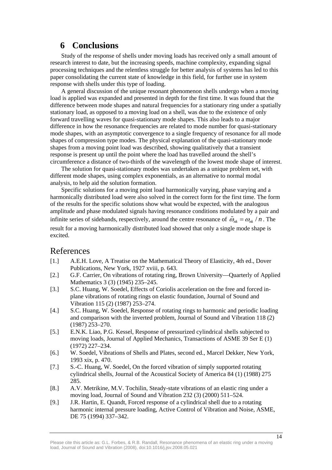### **6 Conclusions**

Study of the response of shells under moving loads has received only a small amount of research interest to date, but the increasing speeds, machine complexity, expanding signal processing techniques and the relentless struggle for better analysis of systems has led to this paper consolidating the current state of knowledge in this field, for further use in system response with shells under this type of loading.

A general discussion of the unique resonant phenomenon shells undergo when a moving load is applied was expanded and presented in depth for the first time. It was found that the difference between mode shapes and natural frequencies for a stationary ring under a spatially stationary load, as opposed to a moving load on a shell, was due to the existence of only forward travelling waves for quasi-stationary mode shapes. This also leads to a major difference in how the resonance frequencies are related to mode number for quasi-stationary mode shapes, with an asymptotic convergence to a single frequency of resonance for all mode shapes of compression type modes. The physical explanation of the quasi-stationary mode shapes from a moving point load was described, showing qualitatively that a transient response is present up until the point where the load has travelled around the shell's circumference a distance of two-thirds of the wavelength of the lowest mode shape of interest.

The solution for quasi-stationary modes was undertaken as a unique problem set, with different mode shapes, using complex exponentials, as an alternative to normal modal analysis, to help aid the solution formation.

Specific solutions for a moving point load harmonically varying, phase varying and a harmonically distributed load were also solved in the correct form for the first time. The form of the results for the specific solutions show what would be expected, with the analogous amplitude and phase modulated signals having resonance conditions modulated by a pair and infinite series of sidebands, respectively, around the centre resonance of  $\tilde{\omega}_{nk} = \omega_{nk}/n$ . The result for a moving harmonically distributed load showed that only a single mode shape is excited.

## References

- [1.] A.E.H. Love, A Treatise on the Mathematical Theory of Elasticity, 4th ed., Dover Publications, New York, 1927 xviii, p. 643.
- [2.] G.F. Carrier, On vibrations of rotating ring, Brown University—Quarterly of Applied Mathematics 3 (3) (1945) 235–245.
- [3.] S.C. Huang, W. Soedel, Effects of Coriolis acceleration on the free and forced inplane vibrations of rotating rings on elastic foundation, Journal of Sound and Vibration 115 (2) (1987) 253–274.
- [4.] S.C. Huang, W. Soedel, Response of rotating rings to harmonic and periodic loading and comparison with the inverted problem, Journal of Sound and Vibration 118 (2) (1987) 253–270.
- [5.] E.N.K. Liao, P.G. Kessel, Response of pressurized cylindrical shells subjected to moving loads, Journal of Applied Mechanics, Transactions of ASME 39 Ser E (1) (1972) 227–234.
- [6.] W. Soedel, Vibrations of Shells and Plates, second ed., Marcel Dekker, New York, 1993 xix, p. 470.
- [7.] S.-C. Huang, W. Soedel, On the forced vibration of simply supported rotating cylindrical shells, Journal of the Acoustical Society of America 84 (1) (1988) 275 285.
- [8.] A.V. Metrikine, M.V. Tochilin, Steady-state vibrations of an elastic ring under a moving load, Journal of Sound and Vibration 232 (3) (2000) 511–524.
- [9.] J.R. Hartin, E. Quandt, Forced response of a cylindrical shell due to a rotating harmonic internal pressure loading, Active Control of Vibration and Noise, ASME, DE 75 (1994) 337–342.